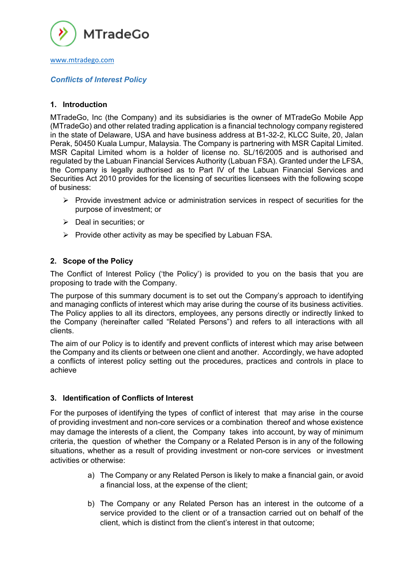

# www.mtradego.com

## *Conflicts of Interest Policy*

## **1. Introduction**

MTradeGo, Inc (the Company) and its subsidiaries is the owner of MTradeGo Mobile App (MTradeGo) and other related trading application is a financial technology company registered in the state of Delaware, USA and have business address at B1-32-2, KLCC Suite, 20, Jalan Perak, 50450 Kuala Lumpur, Malaysia. The Company is partnering with MSR Capital Limited. MSR Capital Limited whom is a holder of license no. SL/16/2005 and is authorised and regulated by the Labuan Financial Services Authority (Labuan FSA). Granted under the LFSA, the Company is legally authorised as to Part IV of the Labuan Financial Services and Securities Act 2010 provides for the licensing of securities licensees with the following scope of business:

- $\triangleright$  Provide investment advice or administration services in respect of securities for the purpose of investment; or
- $\triangleright$  Deal in securities; or
- $\triangleright$  Provide other activity as may be specified by Labuan FSA.

## **2. Scope of the Policy**

The Conflict of Interest Policy ('the Policy') is provided to you on the basis that you are proposing to trade with the Company.

The purpose of this summary document is to set out the Company's approach to identifying and managing conflicts of interest which may arise during the course of its business activities. The Policy applies to all its directors, employees, any persons directly or indirectly linked to the Company (hereinafter called "Related Persons") and refers to all interactions with all clients.

The aim of our Policy is to identify and prevent conflicts of interest which may arise between the Company and its clients or between one client and another. Accordingly, we have adopted a conflicts of interest policy setting out the procedures, practices and controls in place to achieve

#### **3. Identification of Conflicts of Interest**

For the purposes of identifying the types of conflict of interest that may arise in the course of providing investment and non-core services or a combination thereof and whose existence may damage the interests of a client, the Company takes into account, by way of minimum criteria, the question of whether the Company or a Related Person is in any of the following situations, whether as a result of providing investment or non-core services or investment activities or otherwise:

- a) The Company or any Related Person is likely to make a financial gain, or avoid a financial loss, at the expense of the client;
- b) The Company or any Related Person has an interest in the outcome of a service provided to the client or of a transaction carried out on behalf of the client, which is distinct from the client's interest in that outcome;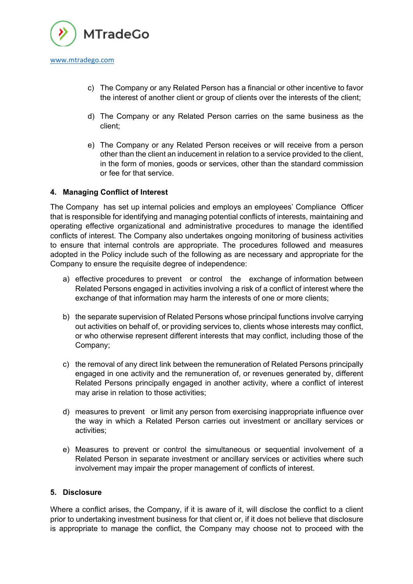

- c) The Company or any Related Person has a financial or other incentive to favor the interest of another client or group of clients over the interests of the client;
- d) The Company or any Related Person carries on the same business as the client;
- e) The Company or any Related Person receives or will receive from a person other than the client an inducement in relation to a service provided to the client, in the form of monies, goods or services, other than the standard commission or fee for that service.

## **4. Managing Conflict of Interest**

The Company has set up internal policies and employs an employees' Compliance Officer that is responsible for identifying and managing potential conflicts of interests, maintaining and operating effective organizational and administrative procedures to manage the identified conflicts of interest. The Company also undertakes ongoing monitoring of business activities to ensure that internal controls are appropriate. The procedures followed and measures adopted in the Policy include such of the following as are necessary and appropriate for the Company to ensure the requisite degree of independence:

- a) effective procedures to prevent or control the exchange of information between Related Persons engaged in activities involving a risk of a conflict of interest where the exchange of that information may harm the interests of one or more clients;
- b) the separate supervision of Related Persons whose principal functions involve carrying out activities on behalf of, or providing services to, clients whose interests may conflict, or who otherwise represent different interests that may conflict, including those of the Company;
- c) the removal of any direct link between the remuneration of Related Persons principally engaged in one activity and the remuneration of, or revenues generated by, different Related Persons principally engaged in another activity, where a conflict of interest may arise in relation to those activities;
- d) measures to prevent or limit any person from exercising inappropriate influence over the way in which a Related Person carries out investment or ancillary services or activities;
- e) Measures to prevent or control the simultaneous or sequential involvement of a Related Person in separate investment or ancillary services or activities where such involvement may impair the proper management of conflicts of interest.

#### **5. Disclosure**

Where a conflict arises, the Company, if it is aware of it, will disclose the conflict to a client prior to undertaking investment business for that client or, if it does not believe that disclosure is appropriate to manage the conflict, the Company may choose not to proceed with the